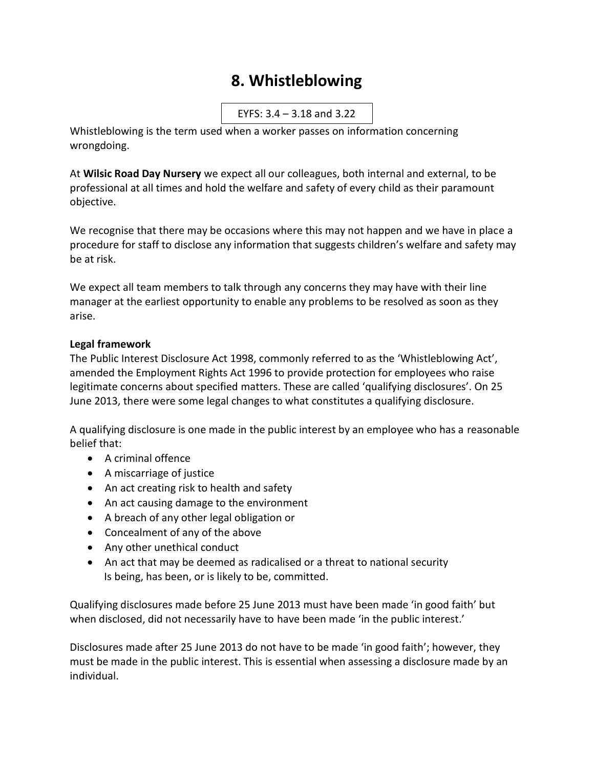## **8. Whistleblowing**

```
EYFS: 3.4 – 3.18 and 3.22
```
Whistleblowing is the term used when a worker passes on information concerning wrongdoing.

At **Wilsic Road Day Nursery** we expect all our colleagues, both internal and external, to be professional at all times and hold the welfare and safety of every child as their paramount objective.

We recognise that there may be occasions where this may not happen and we have in place a procedure for staff to disclose any information that suggests children's welfare and safety may be at risk.

We expect all team members to talk through any concerns they may have with their line manager at the earliest opportunity to enable any problems to be resolved as soon as they arise.

## **Legal framework**

The Public Interest Disclosure Act 1998, commonly referred to as the 'Whistleblowing Act', amended the Employment Rights Act 1996 to provide protection for employees who raise legitimate concerns about specified matters. These are called 'qualifying disclosures'. On 25 June 2013, there were some legal changes to what constitutes a qualifying disclosure.

A qualifying disclosure is one made in the public interest by an employee who has a reasonable belief that:

- A criminal offence
- A miscarriage of justice
- An act creating risk to health and safety
- An act causing damage to the environment
- A breach of any other legal obligation or
- Concealment of any of the above
- Any other unethical conduct
- An act that may be deemed as radicalised or a threat to national security Is being, has been, or is likely to be, committed.

Qualifying disclosures made before 25 June 2013 must have been made 'in good faith' but when disclosed, did not necessarily have to have been made 'in the public interest.'

Disclosures made after 25 June 2013 do not have to be made 'in good faith'; however, they must be made in the public interest. This is essential when assessing a disclosure made by an individual.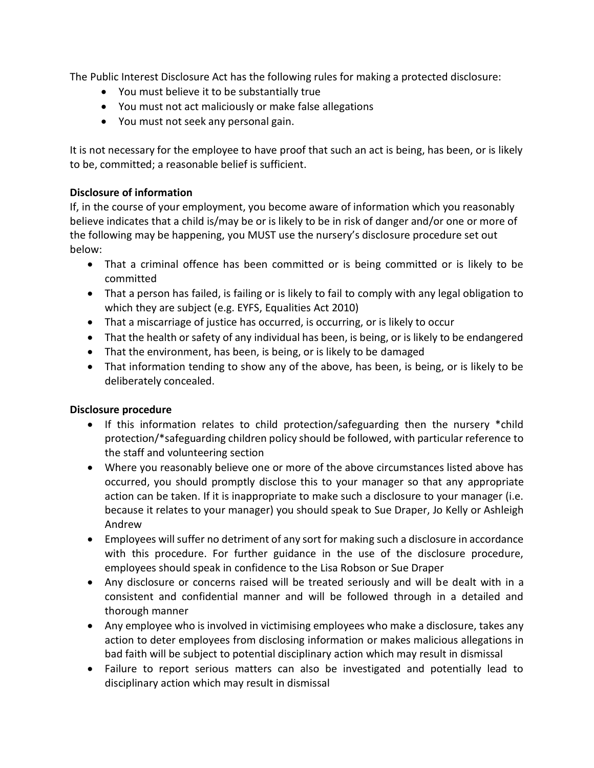The Public Interest Disclosure Act has the following rules for making a protected disclosure:

- You must believe it to be substantially true
- You must not act maliciously or make false allegations
- You must not seek any personal gain.

It is not necessary for the employee to have proof that such an act is being, has been, or is likely to be, committed; a reasonable belief is sufficient.

## **Disclosure of information**

If, in the course of your employment, you become aware of information which you reasonably believe indicates that a child is/may be or is likely to be in risk of danger and/or one or more of the following may be happening, you MUST use the nursery's disclosure procedure set out below:

- That a criminal offence has been committed or is being committed or is likely to be committed
- That a person has failed, is failing or is likely to fail to comply with any legal obligation to which they are subject (e.g. EYFS, Equalities Act 2010)
- That a miscarriage of justice has occurred, is occurring, or is likely to occur
- That the health or safety of any individual has been, is being, or is likely to be endangered
- That the environment, has been, is being, or is likely to be damaged
- That information tending to show any of the above, has been, is being, or is likely to be deliberately concealed.

## **Disclosure procedure**

- If this information relates to child protection/safeguarding then the nursery \*child protection/\*safeguarding children policy should be followed, with particular reference to the staff and volunteering section
- Where you reasonably believe one or more of the above circumstances listed above has occurred, you should promptly disclose this to your manager so that any appropriate action can be taken. If it is inappropriate to make such a disclosure to your manager (i.e. because it relates to your manager) you should speak to Sue Draper, Jo Kelly or Ashleigh Andrew
- Employees will suffer no detriment of any sort for making such a disclosure in accordance with this procedure. For further guidance in the use of the disclosure procedure, employees should speak in confidence to the Lisa Robson or Sue Draper
- Any disclosure or concerns raised will be treated seriously and will be dealt with in a consistent and confidential manner and will be followed through in a detailed and thorough manner
- Any employee who is involved in victimising employees who make a disclosure, takes any action to deter employees from disclosing information or makes malicious allegations in bad faith will be subject to potential disciplinary action which may result in dismissal
- Failure to report serious matters can also be investigated and potentially lead to disciplinary action which may result in dismissal